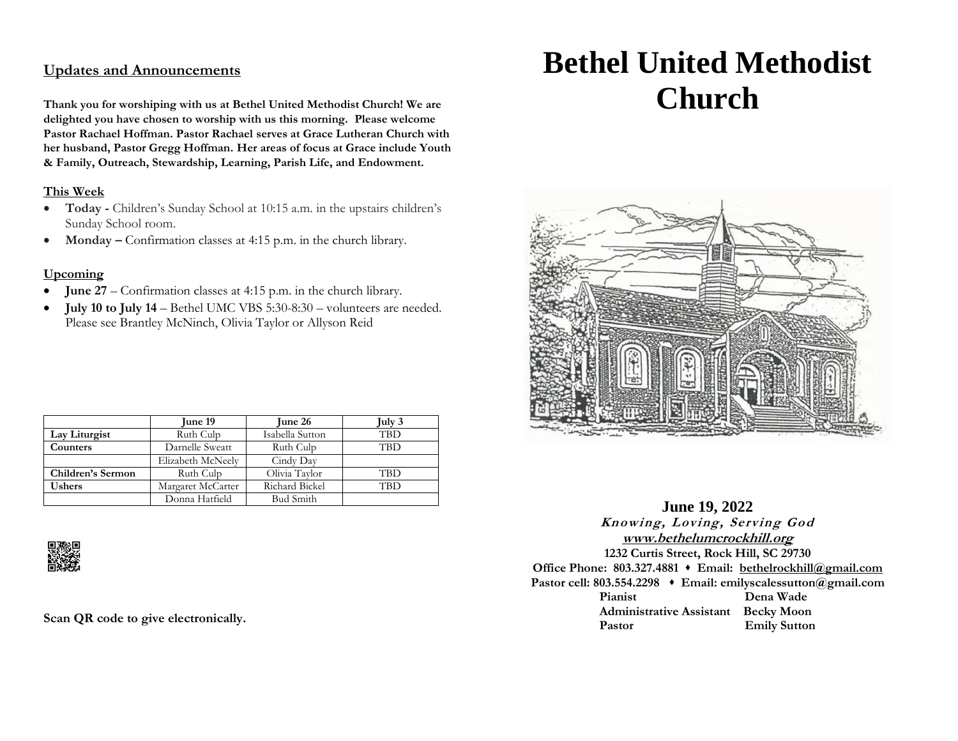# **Updates and Announcements**

**Thank you for worshiping with us at Bethel United Methodist Church! We are delighted you have chosen to worship with us this morning. Please welcome Pastor Rachael Hoffman. Pastor Rachael serves at Grace Lutheran Church with her husband, Pastor Gregg Hoffman. Her areas of focus at Grace include Youth & Family, Outreach, Stewardship, Learning, Parish Life, and Endowment.**

#### **This Week**

- **Today -** Children's Sunday School at 10:15 a.m. in the upstairs children's Sunday School room.
- **Monday** Confirmation classes at 4:15 p.m. in the church library.

#### **Upcoming**

- **June 27** Confirmation classes at 4:15 p.m. in the church library.
- **July 10 to July 14** Bethel UMC VBS 5:30-8:30 volunteers are needed. Please see Brantley McNinch, Olivia Taylor or Allyson Reid

|                   | June 19           | June 26          | July 3     |
|-------------------|-------------------|------------------|------------|
| Lay Liturgist     | Ruth Culp         | Isabella Sutton  | <b>TBD</b> |
| Counters          | Darnelle Sweatt   | Ruth Culp        | TBD        |
|                   | Elizabeth McNeely | Cindy Day        |            |
| Children's Sermon | Ruth Culp         | Olivia Taylor    | <b>TBD</b> |
| <b>Ushers</b>     | Margaret McCarter | Richard Bickel   | TBD        |
|                   | Donna Hatfield    | <b>Bud Smith</b> |            |



**Scan QR code to give electronically.**

# **Bethel United Methodist Church**



**June 19, 2022 Knowing, Loving, Serving God [www.bethelumcrockhill.org](http://www.bethelrockhill.org/) 1232 Curtis Street, Rock Hill, SC 29730 Office Phone: 803.327.4881** ⬧ **Email: [bethelrockhill@gmail.com](mailto:bethelrockhill@gmail.com) Pastor cell: 803.554.2298** ⬧ **Email: emilyscalessutton@gmail.com Pianist Dena Wade Administrative Assistant Becky Moon** Pastor **Emily Sutton**